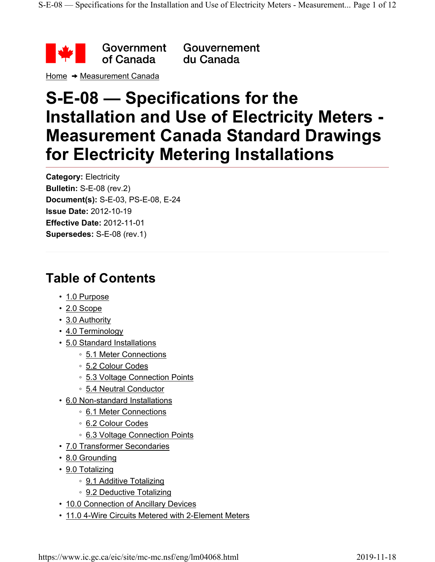

Gouvernement du Canada

Home  $\rightarrow$  Measurement Canada

# **S-E-08 — Specifications for the Installation and Use of Electricity Meters - Measurement Canada Standard Drawings for Electricity Metering Installations**

**Category:** Electricity **Bulletin:** S-E-08 (rev.2) **Document(s):** S-E-03, PS-E-08, E-24 **Issue Date:** 2012-10-19 **Effective Date:** 2012-11-01 **Supersedes:** S-E-08 (rev.1)

## **Table of Contents**

- 1.0 Purpose
- 2.0 Scope
- 3.0 Authority
- 4.0 Terminology
- 5.0 Standard Installations
	- 5.1 Meter Connections
	- 5.2 Colour Codes
	- 5.3 Voltage Connection Points
	- 5.4 Neutral Conductor
- 6.0 Non-standard Installations
	- 6.1 Meter Connections
	- 6.2 Colour Codes
	- 6.3 Voltage Connection Points
- 7.0 Transformer Secondaries
- 8.0 Grounding
- 9.0 Totalizing
	- 9.1 Additive Totalizing
	- 9.2 Deductive Totalizing
- 10.0 Connection of Ancillary Devices
- 11.0 4-Wire Circuits Metered with 2-Element Meters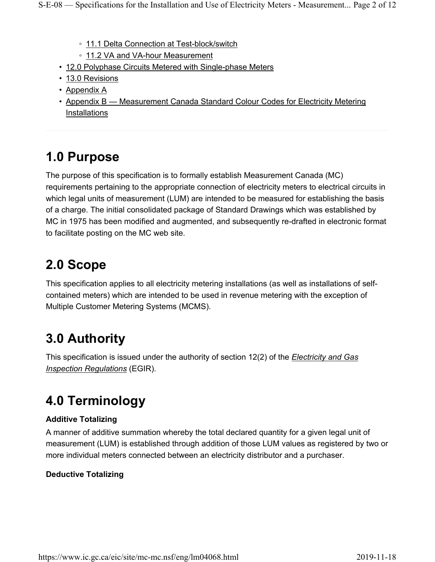- 11.1 Delta Connection at Test-block/switch
- 11.2 VA and VA-hour Measurement
- 12.0 Polyphase Circuits Metered with Single-phase Meters
- 13.0 Revisions
- Appendix A
- Appendix B Measurement Canada Standard Colour Codes for Electricity Metering Installations

# **1.0 Purpose**

The purpose of this specification is to formally establish Measurement Canada (MC) requirements pertaining to the appropriate connection of electricity meters to electrical circuits in which legal units of measurement (LUM) are intended to be measured for establishing the basis of a charge. The initial consolidated package of Standard Drawings which was established by MC in 1975 has been modified and augmented, and subsequently re-drafted in electronic format to facilitate posting on the MC web site.

# **2.0 Scope**

This specification applies to all electricity metering installations (as well as installations of selfcontained meters) which are intended to be used in revenue metering with the exception of Multiple Customer Metering Systems (MCMS).

# **3.0 Authority**

This specification is issued under the authority of section 12(2) of the *Electricity and Gas Inspection Regulations* (EGIR).

# **4.0 Terminology**

#### **Additive Totalizing**

A manner of additive summation whereby the total declared quantity for a given legal unit of measurement (LUM) is established through addition of those LUM values as registered by two or more individual meters connected between an electricity distributor and a purchaser.

#### **Deductive Totalizing**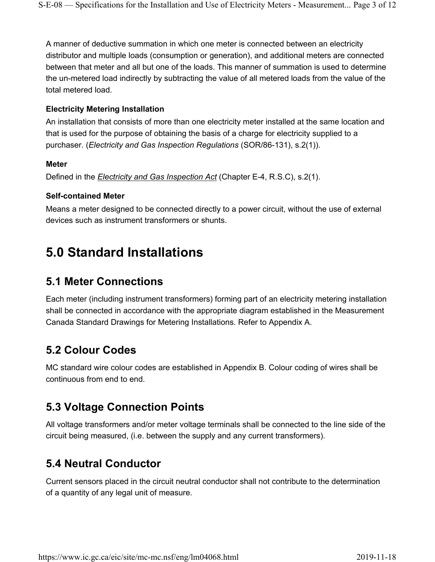A manner of deductive summation in which one meter is connected between an electricity distributor and multiple loads (consumption or generation), and additional meters are connected between that meter and all but one of the loads. This manner of summation is used to determine the un-metered load indirectly by subtracting the value of all metered loads from the value of the total metered load.

#### **Electricity Metering Installation**

An installation that consists of more than one electricity meter installed at the same location and that is used for the purpose of obtaining the basis of a charge for electricity supplied to a purchaser. (*Electricity and Gas Inspection Regulations* (SOR/86-131), s.2(1)).

#### **Meter**

Defined in the *Electricity and Gas Inspection Act* (Chapter E-4, R.S.C), s.2(1).

#### **Self-contained Meter**

Means a meter designed to be connected directly to a power circuit, without the use of external devices such as instrument transformers or shunts.

## **5.0 Standard Installations**

#### **5.1 Meter Connections**

Each meter (including instrument transformers) forming part of an electricity metering installation shall be connected in accordance with the appropriate diagram established in the Measurement Canada Standard Drawings for Metering Installations. Refer to Appendix A.

#### **5.2 Colour Codes**

MC standard wire colour codes are established in Appendix B. Colour coding of wires shall be continuous from end to end.

#### **5.3 Voltage Connection Points**

All voltage transformers and/or meter voltage terminals shall be connected to the line side of the circuit being measured, (i.e. between the supply and any current transformers).

#### **5.4 Neutral Conductor**

Current sensors placed in the circuit neutral conductor shall not contribute to the determination of a quantity of any legal unit of measure.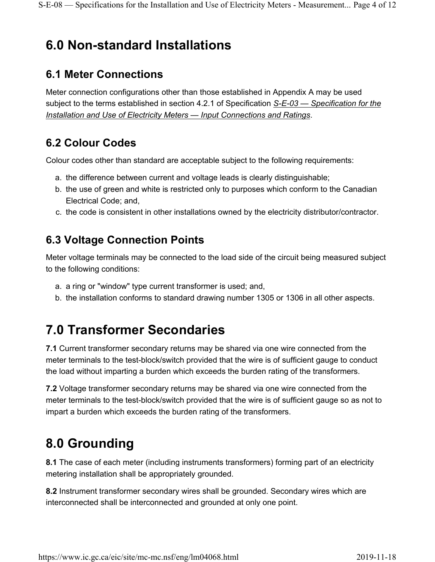# **6.0 Non-standard Installations**

### **6.1 Meter Connections**

Meter connection configurations other than those established in Appendix A may be used subject to the terms established in section 4.2.1 of Specification *S-E-03 — Specification for the Installation and Use of Electricity Meters — Input Connections and Ratings*.

#### **6.2 Colour Codes**

Colour codes other than standard are acceptable subject to the following requirements:

- a. the difference between current and voltage leads is clearly distinguishable;
- b. the use of green and white is restricted only to purposes which conform to the Canadian Electrical Code; and,
- c. the code is consistent in other installations owned by the electricity distributor/contractor.

## **6.3 Voltage Connection Points**

Meter voltage terminals may be connected to the load side of the circuit being measured subject to the following conditions:

- a. a ring or "window" type current transformer is used; and,
- b. the installation conforms to standard drawing number 1305 or 1306 in all other aspects.

# **7.0 Transformer Secondaries**

**7.1** Current transformer secondary returns may be shared via one wire connected from the meter terminals to the test-block/switch provided that the wire is of sufficient gauge to conduct the load without imparting a burden which exceeds the burden rating of the transformers.

**7.2** Voltage transformer secondary returns may be shared via one wire connected from the meter terminals to the test-block/switch provided that the wire is of sufficient gauge so as not to impart a burden which exceeds the burden rating of the transformers.

# **8.0 Grounding**

**8.1** The case of each meter (including instruments transformers) forming part of an electricity metering installation shall be appropriately grounded.

**8.2** Instrument transformer secondary wires shall be grounded. Secondary wires which are interconnected shall be interconnected and grounded at only one point.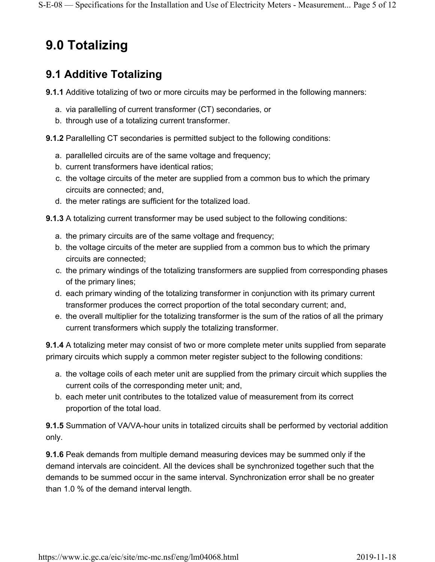# **9.0 Totalizing**

#### **9.1 Additive Totalizing**

- **9.1.1** Additive totalizing of two or more circuits may be performed in the following manners:
	- a. via parallelling of current transformer (CT) secondaries, or
	- b. through use of a totalizing current transformer.

**9.1.2** Parallelling CT secondaries is permitted subject to the following conditions:

- a. parallelled circuits are of the same voltage and frequency;
- b. current transformers have identical ratios;
- c. the voltage circuits of the meter are supplied from a common bus to which the primary circuits are connected; and,
- d. the meter ratings are sufficient for the totalized load.
- **9.1.3** A totalizing current transformer may be used subject to the following conditions:
	- a. the primary circuits are of the same voltage and frequency;
	- b. the voltage circuits of the meter are supplied from a common bus to which the primary circuits are connected;
	- c. the primary windings of the totalizing transformers are supplied from corresponding phases of the primary lines;
	- d. each primary winding of the totalizing transformer in conjunction with its primary current transformer produces the correct proportion of the total secondary current; and,
	- e. the overall multiplier for the totalizing transformer is the sum of the ratios of all the primary current transformers which supply the totalizing transformer.

**9.1.4** A totalizing meter may consist of two or more complete meter units supplied from separate primary circuits which supply a common meter register subject to the following conditions:

- a. the voltage coils of each meter unit are supplied from the primary circuit which supplies the current coils of the corresponding meter unit; and,
- b. each meter unit contributes to the totalized value of measurement from its correct proportion of the total load.

**9.1.5** Summation of VA/VA-hour units in totalized circuits shall be performed by vectorial addition only.

**9.1.6** Peak demands from multiple demand measuring devices may be summed only if the demand intervals are coincident. All the devices shall be synchronized together such that the demands to be summed occur in the same interval. Synchronization error shall be no greater than 1.0 % of the demand interval length.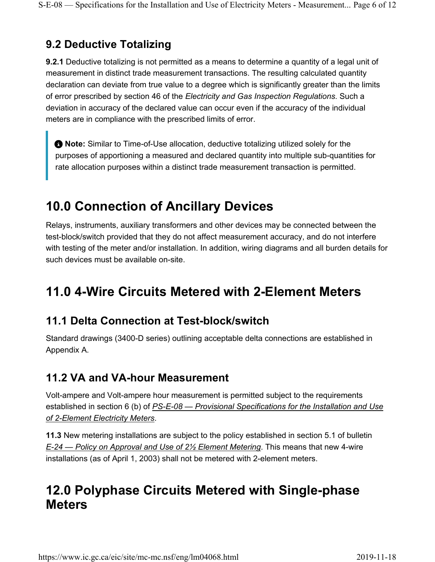## **9.2 Deductive Totalizing**

**9.2.1** Deductive totalizing is not permitted as a means to determine a quantity of a legal unit of measurement in distinct trade measurement transactions. The resulting calculated quantity declaration can deviate from true value to a degree which is significantly greater than the limits of error prescribed by section 46 of the *Electricity and Gas Inspection Regulations*. Such a deviation in accuracy of the declared value can occur even if the accuracy of the individual meters are in compliance with the prescribed limits of error.

**Note:** Similar to Time-of-Use allocation, deductive totalizing utilized solely for the purposes of apportioning a measured and declared quantity into multiple sub-quantities for rate allocation purposes within a distinct trade measurement transaction is permitted.

# **10.0 Connection of Ancillary Devices**

Relays, instruments, auxiliary transformers and other devices may be connected between the test-block/switch provided that they do not affect measurement accuracy, and do not interfere with testing of the meter and/or installation. In addition, wiring diagrams and all burden details for such devices must be available on-site.

# **11.0 4-Wire Circuits Metered with 2-Element Meters**

### **11.1 Delta Connection at Test-block/switch**

Standard drawings (3400-D series) outlining acceptable delta connections are established in Appendix A.

### **11.2 VA and VA-hour Measurement**

Volt-ampere and Volt-ampere hour measurement is permitted subject to the requirements established in section 6 (b) of *PS-E-08 — Provisional Specifications for the Installation and Use of 2-Element Electricity Meters*.

**11.3** New metering installations are subject to the policy established in section 5.1 of bulletin *E-24 — Policy on Approval and Use of 2½ Element Metering*. This means that new 4-wire installations (as of April 1, 2003) shall not be metered with 2-element meters.

## **12.0 Polyphase Circuits Metered with Single-phase Meters**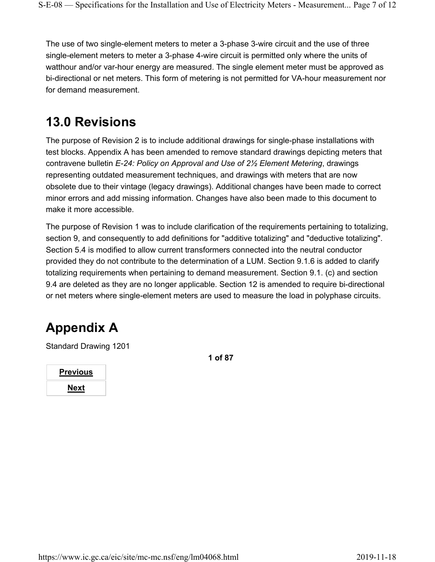The use of two single-element meters to meter a 3-phase 3-wire circuit and the use of three single-element meters to meter a 3-phase 4-wire circuit is permitted only where the units of watthour and/or var-hour energy are measured. The single element meter must be approved as bi-directional or net meters. This form of metering is not permitted for VA-hour measurement nor for demand measurement.

## **13.0 Revisions**

The purpose of Revision 2 is to include additional drawings for single-phase installations with test blocks. Appendix A has been amended to remove standard drawings depicting meters that contravene bulletin *E-24: Policy on Approval and Use of 2½ Element Metering*, drawings representing outdated measurement techniques, and drawings with meters that are now obsolete due to their vintage (legacy drawings). Additional changes have been made to correct minor errors and add missing information. Changes have also been made to this document to make it more accessible.

The purpose of Revision 1 was to include clarification of the requirements pertaining to totalizing, section 9, and consequently to add definitions for "additive totalizing" and "deductive totalizing". Section 5.4 is modified to allow current transformers connected into the neutral conductor provided they do not contribute to the determination of a LUM. Section 9.1.6 is added to clarify totalizing requirements when pertaining to demand measurement. Section 9.1. (c) and section 9.4 are deleted as they are no longer applicable. Section 12 is amended to require bi-directional or net meters where single-element meters are used to measure the load in polyphase circuits.

# **Appendix A**

Standard Drawing 1201

| <b>Previous</b> |  |
|-----------------|--|
| <b>Next</b>     |  |

**1 of 87**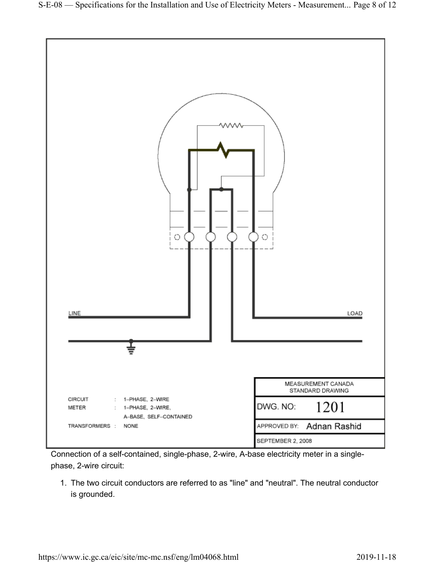

Connection of a self-contained, single-phase, 2-wire, A-base electricity meter in a singlephase, 2-wire circuit:

1. The two circuit conductors are referred to as "line" and "neutral". The neutral conductor is grounded.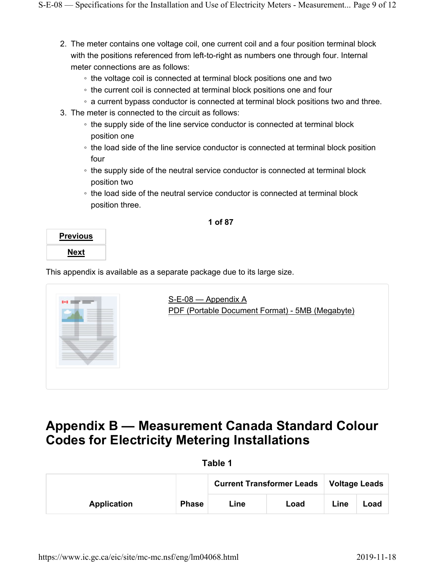- 2. The meter contains one voltage coil, one current coil and a four position terminal block with the positions referenced from left-to-right as numbers one through four. Internal meter connections are as follows:
	- the voltage coil is connected at terminal block positions one and two
	- the current coil is connected at terminal block positions one and four
	- a current bypass conductor is connected at terminal block positions two and three.
- 3. The meter is connected to the circuit as follows:
	- the supply side of the line service conductor is connected at terminal block position one
	- the load side of the line service conductor is connected at terminal block position four
	- the supply side of the neutral service conductor is connected at terminal block position two
	- the load side of the neutral service conductor is connected at terminal block position three.

#### **1 of 87**

| Previous |  |
|----------|--|
| Next     |  |

This appendix is available as a separate package due to its large size.



## **Appendix B — Measurement Canada Standard Colour Codes for Electricity Metering Installations**

| ıble<br>٠ |  |
|-----------|--|
|-----------|--|

|             |              | <b>Current Transformer Leads</b> |      | <b>Voltage Leads</b> |      |
|-------------|--------------|----------------------------------|------|----------------------|------|
| Application | <b>Phase</b> | Line                             | Load | Line                 | Load |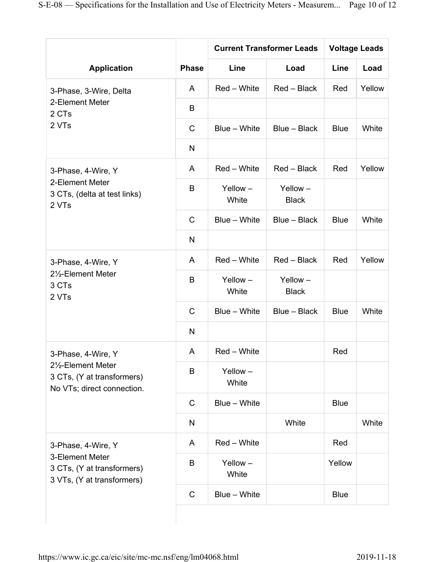|                                                                                                   | <b>Phase</b> | <b>Current Transformer Leads</b> |                         | <b>Voltage Leads</b> |        |
|---------------------------------------------------------------------------------------------------|--------------|----------------------------------|-------------------------|----------------------|--------|
| <b>Application</b>                                                                                |              | Line                             | Load                    | Line                 | Load   |
| 3-Phase, 3-Wire, Delta                                                                            | A            | Red - White                      | Red - Black             | Red                  | Yellow |
| 2-Element Meter<br>2 CTs                                                                          | B            |                                  |                         |                      |        |
| 2 VTs                                                                                             | $\mathsf C$  | Blue - White                     | Blue - Black            | <b>Blue</b>          | White  |
|                                                                                                   | N            |                                  |                         |                      |        |
| 3-Phase, 4-Wire, Y<br>2-Element Meter<br>3 CTs, (delta at test links)<br>2 VTs                    | A            | Red - White                      | Red - Black             | Red                  | Yellow |
|                                                                                                   | B            | Yellow-<br>White                 | Yellow-<br><b>Black</b> |                      |        |
|                                                                                                   | $\mathsf C$  | Blue - White                     | Blue - Black            | <b>Blue</b>          | White  |
|                                                                                                   | $\mathsf{N}$ |                                  |                         |                      |        |
| 3-Phase, 4-Wire, Y                                                                                | A            | Red - White                      | Red - Black             | Red                  | Yellow |
| 21/2-Element Meter<br>3 CTs<br>2 VTs                                                              | B            | Yellow-<br>White                 | Yellow-<br><b>Black</b> |                      |        |
|                                                                                                   | $\mathsf C$  | Blue - White                     | Blue - Black            | <b>Blue</b>          | White  |
|                                                                                                   | N            |                                  |                         |                      |        |
| 3-Phase, 4-Wire, Y                                                                                | A            | Red - White                      |                         | Red                  |        |
| 21/2-Element Meter<br>3 CTs, (Y at transformers)<br>No VTs; direct connection.                    | B            | Yellow-<br>White                 |                         |                      |        |
|                                                                                                   | $\mathsf C$  | Blue - White                     |                         | <b>Blue</b>          |        |
|                                                                                                   | ${\sf N}$    |                                  | White                   |                      | White  |
| 3-Phase, 4-Wire, Y<br>3-Element Meter<br>3 CTs, (Y at transformers)<br>3 VTs, (Y at transformers) | A            | Red - White                      |                         | Red                  |        |
|                                                                                                   | B            | Yellow-<br>White                 |                         | Yellow               |        |
|                                                                                                   | $\mathbf C$  | Blue - White                     |                         | <b>Blue</b>          |        |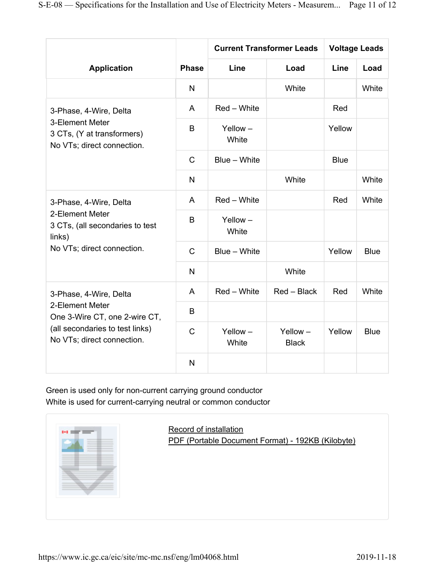| <b>Application</b>                                                                                                                          | <b>Phase</b> | <b>Current Transformer Leads</b> |                         | <b>Voltage Leads</b> |             |
|---------------------------------------------------------------------------------------------------------------------------------------------|--------------|----------------------------------|-------------------------|----------------------|-------------|
|                                                                                                                                             |              | Line                             | Load                    | Line                 | Load        |
|                                                                                                                                             | $\mathsf{N}$ |                                  | White                   |                      | White       |
| 3-Phase, 4-Wire, Delta<br>3-Element Meter<br>3 CTs, (Y at transformers)<br>No VTs; direct connection.                                       | A            | Red - White                      |                         | Red                  |             |
|                                                                                                                                             | B            | Yellow-<br>White                 |                         | Yellow               |             |
|                                                                                                                                             | $\mathsf{C}$ | Blue - White                     |                         | <b>Blue</b>          |             |
|                                                                                                                                             | N            |                                  | White                   |                      | White       |
| 3-Phase, 4-Wire, Delta<br>2-Element Meter<br>3 CTs, (all secondaries to test<br>links)<br>No VTs; direct connection.                        | A            | Red - White                      |                         | Red                  | White       |
|                                                                                                                                             | B            | $Y$ ellow $-$<br>White           |                         |                      |             |
|                                                                                                                                             | $\mathsf{C}$ | Blue - White                     |                         | Yellow               | <b>Blue</b> |
|                                                                                                                                             | $\mathsf{N}$ |                                  | White                   |                      |             |
| 3-Phase, 4-Wire, Delta<br>2-Element Meter<br>One 3-Wire CT, one 2-wire CT,<br>(all secondaries to test links)<br>No VTs; direct connection. | A            | Red - White                      | Red - Black             | Red                  | White       |
|                                                                                                                                             | B            |                                  |                         |                      |             |
|                                                                                                                                             | $\mathsf{C}$ | Yellow-<br>White                 | Yellow-<br><b>Black</b> | Yellow               | <b>Blue</b> |
|                                                                                                                                             | N            |                                  |                         |                      |             |

Green is used only for non-current carrying ground conductor White is used for current-carrying neutral or common conductor



Record of installation PDF (Portable Document Format) - 192KB (Kilobyte)